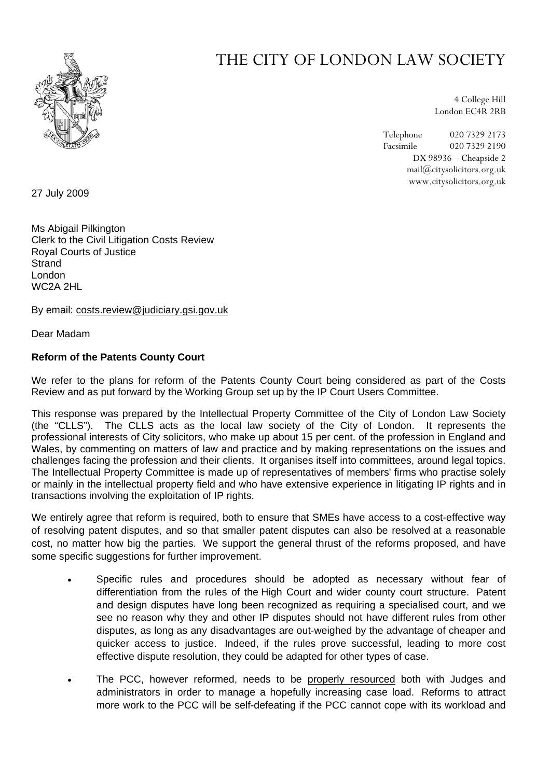

## THE CITY OF LONDON LAW SOCIETY

4 College Hill London EC4R 2RB

Telephone 020 7329 2173 Facsimile 020 7329 2190 DX 98936 – Cheapside 2 mail@citysolicitors.org.uk www.citysolicitors.org.uk

27 July 2009

Ms Abigail Pilkington Clerk to the Civil Litigation Costs Review Royal Courts of Justice **Strand** London WC2A 2HL

By email: costs.review@judiciary.gsi.gov.uk

Dear Madam

## **Reform of the Patents County Court**

We refer to the plans for reform of the Patents County Court being considered as part of the Costs Review and as put forward by the Working Group set up by the IP Court Users Committee.

This response was prepared by the Intellectual Property Committee of the City of London Law Society (the "CLLS"). The CLLS acts as the local law society of the City of London. It represents the professional interests of City solicitors, who make up about 15 per cent. of the profession in England and Wales, by commenting on matters of law and practice and by making representations on the issues and challenges facing the profession and their clients. It organises itself into committees, around legal topics. The Intellectual Property Committee is made up of representatives of members' firms who practise solely or mainly in the intellectual property field and who have extensive experience in litigating IP rights and in transactions involving the exploitation of IP rights.

We entirely agree that reform is required, both to ensure that SMEs have access to a cost-effective way of resolving patent disputes, and so that smaller patent disputes can also be resolved at a reasonable cost, no matter how big the parties. We support the general thrust of the reforms proposed, and have some specific suggestions for further improvement.

- Specific rules and procedures should be adopted as necessary without fear of differentiation from the rules of the High Court and wider county court structure. Patent and design disputes have long been recognized as requiring a specialised court, and we see no reason why they and other IP disputes should not have different rules from other disputes, as long as any disadvantages are out-weighed by the advantage of cheaper and quicker access to justice. Indeed, if the rules prove successful, leading to more cost effective dispute resolution, they could be adapted for other types of case.
- The PCC, however reformed, needs to be properly resourced both with Judges and administrators in order to manage a hopefully increasing case load. Reforms to attract more work to the PCC will be self-defeating if the PCC cannot cope with its workload and